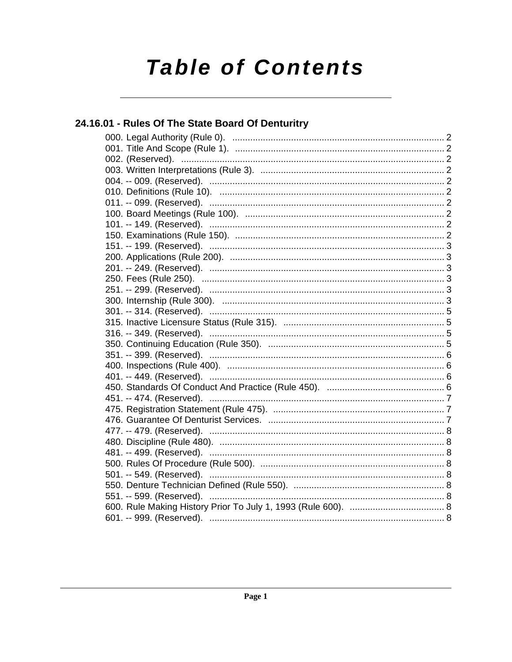# **Table of Contents**

# 24.16.01 - Rules Of The State Board Of Denturitry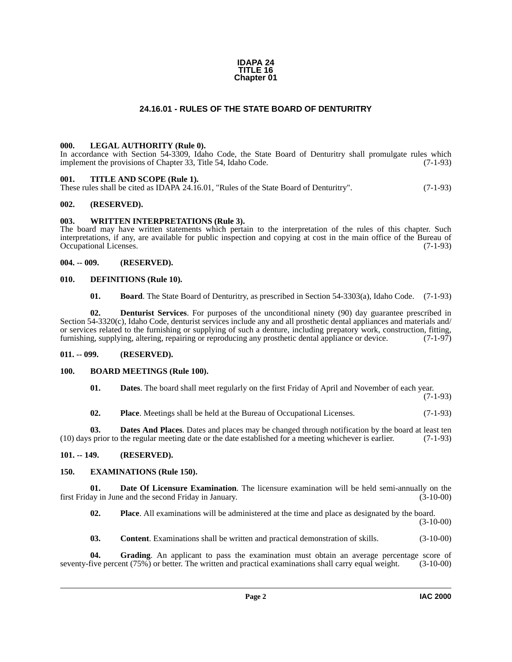#### **IDAPA 24 TITLE 16 Chapter 01**

#### **24.16.01 - RULES OF THE STATE BOARD OF DENTURITRY**

#### <span id="page-1-16"></span><span id="page-1-1"></span><span id="page-1-0"></span>**000. LEGAL AUTHORITY (Rule 0).**

In accordance with Section 54-3309, Idaho Code, the State Board of Denturitry shall promulgate rules which implement the provisions of Chapter 33, Title 54, Idaho Code. (7-1-93)

#### <span id="page-1-17"></span><span id="page-1-2"></span>**001. TITLE AND SCOPE (Rule 1).**

These rules shall be cited as IDAPA 24.16.01, "Rules of the State Board of Denturitry". (7-1-93)

#### <span id="page-1-3"></span>**002. (RESERVED).**

#### <span id="page-1-18"></span><span id="page-1-4"></span>**003. WRITTEN INTERPRETATIONS (Rule 3).**

The board may have written statements which pertain to the interpretation of the rules of this chapter. Such interpretations, if any, are available for public inspection and copying at cost in the main office of the Bureau of Occupational Licenses. (7-1-93)

#### <span id="page-1-5"></span>**004. -- 009. (RESERVED).**

#### <span id="page-1-6"></span>**010. DEFINITIONS (Rule 10).**

<span id="page-1-14"></span><span id="page-1-13"></span><span id="page-1-11"></span>**01. Board**. The State Board of Denturitry, as prescribed in Section 54-3303(a), Idaho Code. (7-1-93)

**02. Denturist Services**. For purposes of the unconditional ninety (90) day guarantee prescribed in Section 54-3320(c), Idaho Code, denturist services include any and all prosthetic dental appliances and materials and/ or services related to the furnishing or supplying of such a denture, including prepatory work, construction, fitting, furnishing, supplying, altering, repairing or reproducing any prosthetic dental appliance or device. (7-1-97)

#### <span id="page-1-7"></span>**011. -- 099. (RESERVED).**

#### <span id="page-1-8"></span>**100. BOARD MEETINGS (Rule 100).**

<span id="page-1-12"></span>

| 01. | <b>Dates</b> . The board shall meet regularly on the first Friday of April and November of each year. |  |  |  |
|-----|-------------------------------------------------------------------------------------------------------|--|--|--|
|-----|-------------------------------------------------------------------------------------------------------|--|--|--|

(7-1-93)

**02. Place**. Meetings shall be held at the Bureau of Occupational Licenses. (7-1-93)

**03. Dates And Places**. Dates and places may be changed through notification by the board at least ten (10) days prior to the regular meeting date or the date established for a meeting whichever is earlier. (7-1-93)

#### <span id="page-1-9"></span>**101. -- 149. (RESERVED).**

#### <span id="page-1-15"></span><span id="page-1-10"></span>**150. EXAMINATIONS (Rule 150).**

**01. Date Of Licensure Examination**. The licensure examination will be held semi-annually on the ay in June and the second Friday in January. first Friday in June and the second Friday in January.

**02. Place**. All examinations will be administered at the time and place as designated by the board. (3-10-00)

**03. Content**. Examinations shall be written and practical demonstration of skills.  $(3-10-00)$ 

**04. Grading**. An applicant to pass the examination must obtain an average percentage score of seventy-five percent (75%) or better. The written and practical examinations shall carry equal weight. (3-10-00)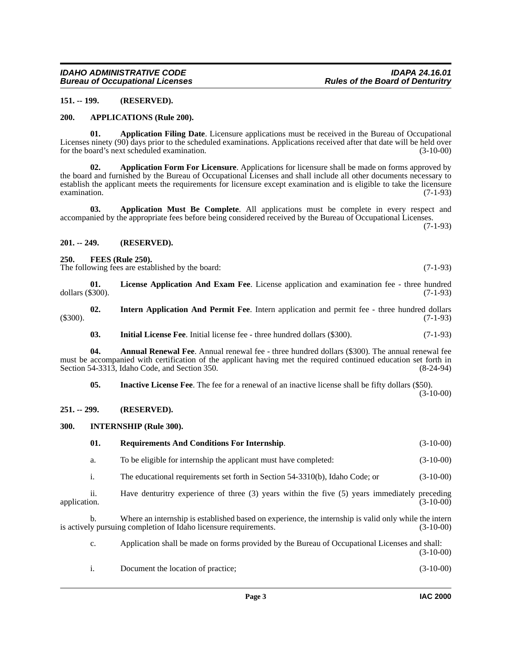#### <span id="page-2-0"></span>**151. -- 199. (RESERVED).**

#### <span id="page-2-10"></span><span id="page-2-1"></span>**200. APPLICATIONS (Rule 200).**

<span id="page-2-7"></span>**01. Application Filing Date**. Licensure applications must be received in the Bureau of Occupational Licenses ninety (90) days prior to the scheduled examinations. Applications received after that date will be held over<br>for the board's next scheduled examination. (3-10-00) for the board's next scheduled examination.

<span id="page-2-8"></span>**02. Application Form For Licensure**. Applications for licensure shall be made on forms approved by the board and furnished by the Bureau of Occupational Licenses and shall include all other documents necessary to establish the applicant meets the requirements for licensure except examination and is eligible to take the licensure examination. (7-1-93)

<span id="page-2-9"></span>**03. Application Must Be Complete**. All applications must be complete in every respect and accompanied by the appropriate fees before being considered received by the Bureau of Occupational Licenses.

(7-1-93)

#### <span id="page-2-2"></span>**201. -- 249. (RESERVED).**

#### <span id="page-2-11"></span><span id="page-2-3"></span>**250. FEES (Rule 250).**

The following fees are established by the board: (7-1-93)

<span id="page-2-16"></span>**01. License Application And Exam Fee**. License application and examination fee - three hundred dollars (\$300). (7-1-93)

**02. Intern Application And Permit Fee**. Intern application and permit fee - three hundred dollars (\$300). (7-1-93)

<span id="page-2-14"></span><span id="page-2-13"></span><span id="page-2-6"></span>**03.** Initial License Fee. Initial license fee - three hundred dollars (\$300). (7-1-93)

**04. Annual Renewal Fee**. Annual renewal fee - three hundred dollars (\$300). The annual renewal fee must be accompanied with certification of the applicant having met the required continued education set forth in Section 54-3313, Idaho Code, and Section 350. (8-24-94)

<span id="page-2-12"></span>**05. Inactive License Fee**. The fee for a renewal of an inactive license shall be fifty dollars (\$50). (3-10-00)

#### <span id="page-2-4"></span>**251. -- 299. (RESERVED).**

#### <span id="page-2-15"></span><span id="page-2-5"></span>**300. INTERNSHIP (Rule 300).**

<span id="page-2-17"></span>

|              | 01. | <b>Requirements And Conditions For Internship.</b>                                                                                                                        | $(3-10-00)$ |
|--------------|-----|---------------------------------------------------------------------------------------------------------------------------------------------------------------------------|-------------|
|              | a.  | To be eligible for internship the applicant must have completed:                                                                                                          | $(3-10-00)$ |
|              | i.  | The educational requirements set forth in Section 54-3310(b), Idaho Code; or                                                                                              | $(3-10-00)$ |
| application. | 11. | Have denturitry experience of three (3) years within the five (5) years immediately preceding                                                                             | $(3-10-00)$ |
|              | b.  | Where an internship is established based on experience, the internship is valid only while the intern<br>is actively pursuing completion of Idaho licensure requirements. | $(3-10-00)$ |
|              | c.  | Application shall be made on forms provided by the Bureau of Occupational Licenses and shall:                                                                             | $(3-10-00)$ |
|              | 1.  | Document the location of practice;                                                                                                                                        | $(3-10-00)$ |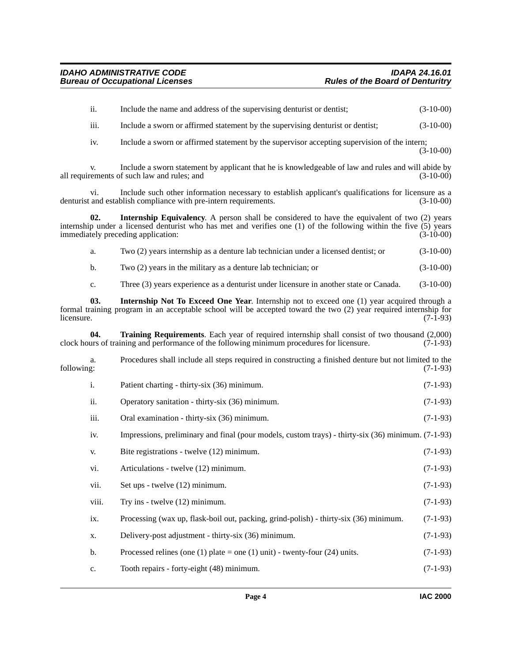<span id="page-3-2"></span><span id="page-3-1"></span><span id="page-3-0"></span>

|            | ii.   | Include the name and address of the supervising denturist or dentist;                                                                                                                                                                                          | $(3-10-00)$ |
|------------|-------|----------------------------------------------------------------------------------------------------------------------------------------------------------------------------------------------------------------------------------------------------------------|-------------|
|            | iii.  | Include a sworn or affirmed statement by the supervising denturist or dentist;                                                                                                                                                                                 | $(3-10-00)$ |
|            | iv.   | Include a sworn or affirmed statement by the supervisor accepting supervision of the intern;                                                                                                                                                                   | $(3-10-00)$ |
|            | V.    | Include a sworn statement by applicant that he is knowledgeable of law and rules and will abide by<br>all requirements of such law and rules; and                                                                                                              | $(3-10-00)$ |
|            | vi.   | Include such other information necessary to establish applicant's qualifications for licensure as a<br>denturist and establish compliance with pre-intern requirements.                                                                                        | $(3-10-00)$ |
|            | 02.   | <b>Internship Equivalency.</b> A person shall be considered to have the equivalent of two (2) years<br>internship under a licensed denturist who has met and verifies one (1) of the following within the five (5) years<br>immediately preceding application: | $(3-10-00)$ |
|            | a.    | Two (2) years internship as a denture lab technician under a licensed dentist; or                                                                                                                                                                              | $(3-10-00)$ |
|            | b.    | Two (2) years in the military as a denture lab technician; or                                                                                                                                                                                                  | $(3-10-00)$ |
|            | c.    | Three (3) years experience as a denturist under licensure in another state or Canada.                                                                                                                                                                          | $(3-10-00)$ |
| licensure. | 03.   | <b>Internship Not To Exceed One Year.</b> Internship not to exceed one (1) year acquired through a<br>formal training program in an acceptable school will be accepted toward the two (2) year required internship for                                         | $(7-1-93)$  |
|            | 04.   | Training Requirements. Each year of required internship shall consist of two thousand (2,000)<br>clock hours of training and performance of the following minimum procedures for licensure.                                                                    | $(7-1-93)$  |
| following: | a.    | Procedures shall include all steps required in constructing a finished denture but not limited to the                                                                                                                                                          | $(7-1-93)$  |
|            | i.    | Patient charting - thirty-six (36) minimum.                                                                                                                                                                                                                    | $(7-1-93)$  |
|            | ii.   | Operatory sanitation - thirty-six (36) minimum.                                                                                                                                                                                                                | $(7-1-93)$  |
|            | iii.  | Oral examination - thirty-six (36) minimum.                                                                                                                                                                                                                    | $(7-1-93)$  |
|            | iv.   | Impressions, preliminary and final (pour models, custom trays) - thirty-six (36) minimum. (7-1-93)                                                                                                                                                             |             |
|            | V.    | Bite registrations - twelve (12) minimum.                                                                                                                                                                                                                      | $(7-1-93)$  |
|            | vi.   | Articulations - twelve (12) minimum.                                                                                                                                                                                                                           | $(7-1-93)$  |
|            | vii.  | Set ups - twelve (12) minimum.                                                                                                                                                                                                                                 | $(7-1-93)$  |
|            | viii. | Try ins - twelve (12) minimum.                                                                                                                                                                                                                                 | $(7-1-93)$  |
|            | ix.   | Processing (wax up, flask-boil out, packing, grind-polish) - thirty-six (36) minimum.                                                                                                                                                                          | $(7-1-93)$  |
|            | X.    | Delivery-post adjustment - thirty-six (36) minimum.                                                                                                                                                                                                            | $(7-1-93)$  |
|            | b.    | Processed relines (one (1) plate = one (1) unit) - twenty-four (24) units.                                                                                                                                                                                     | $(7-1-93)$  |
|            | c.    | Tooth repairs - forty-eight (48) minimum.                                                                                                                                                                                                                      | $(7-1-93)$  |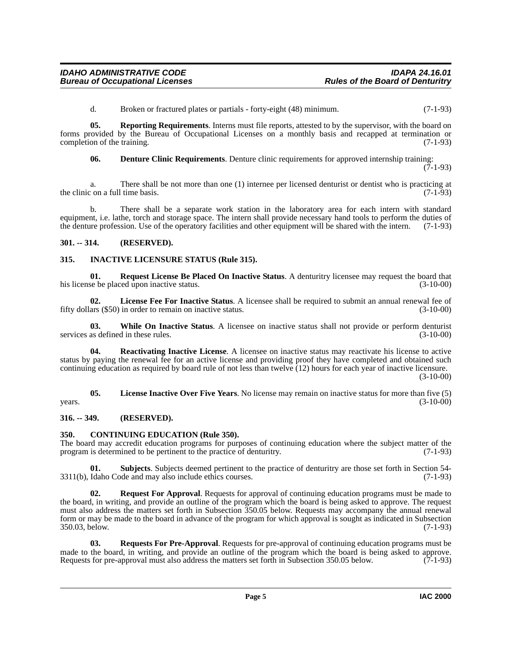<span id="page-4-7"></span>d. Broken or fractured plates or partials - forty-eight (48) minimum. (7-1-93)

**05. Reporting Requirements**. Interns must file reports, attested to by the supervisor, with the board on forms provided by the Bureau of Occupational Licenses on a monthly basis and recapped at termination or completion of the training. (7-1-93)

<span id="page-4-5"></span>**06. Denture Clinic Requirements**. Denture clinic requirements for approved internship training:

(7-1-93)

a. There shall be not more than one (1) internee per licensed denturist or dentist who is practicing at the clinic on a full time basis.  $(7-1-93)$ 

b. There shall be a separate work station in the laboratory area for each intern with standard equipment, i.e. lathe, torch and storage space. The intern shall provide necessary hand tools to perform the duties of the denture profession. Use of the operatory facilities and other equipment will be shared with the intern. (7-1-93)

#### <span id="page-4-0"></span>**301. -- 314. (RESERVED).**

#### <span id="page-4-6"></span><span id="page-4-1"></span>**315. INACTIVE LICENSURE STATUS (Rule 315).**

**01. Request License Be Placed On Inactive Status**. A denturitry licensee may request the board that se be placed upon inactive status. his license be placed upon inactive status.

**02.** License Fee For Inactive Status. A licensee shall be required to submit an annual renewal fee of ars (\$50) in order to remain on inactive status. (3-10-00) fifty dollars  $(\$50)$  in order to remain on inactive status.

**03.** While On Inactive Status. A licensee on inactive status shall not provide or perform denturist as defined in these rules. (3-10-00) services as defined in these rules.

**Reactivating Inactive License**. A licensee on inactive status may reactivate his license to active status by paying the renewal fee for an active license and providing proof they have completed and obtained such continuing education as required by board rule of not less than twelve (12) hours for each year of inactive licensure.

 $(3-10-00)$ 

**05. License Inactive Over Five Years**. No license may remain on inactive status for more than five (5)  $years.$  (3-10-00)

#### <span id="page-4-2"></span>**316. -- 349. (RESERVED).**

#### <span id="page-4-4"></span><span id="page-4-3"></span>**350. CONTINUING EDUCATION (Rule 350).**

The board may accredit education programs for purposes of continuing education where the subject matter of the program is determined to be pertinent to the practice of denturitry. (7-1-93)

**01.** Subjects. Subjects deemed pertinent to the practice of denturitry are those set forth in Section 54-<br>Idaho Code and may also include ethics courses. (7-1-93)  $3311(b)$ , Idaho Code and may also include ethics courses.

<span id="page-4-8"></span>**Request For Approval.** Requests for approval of continuing education programs must be made to the board, in writing, and provide an outline of the program which the board is being asked to approve. The request must also address the matters set forth in Subsection 350.05 below. Requests may accompany the annual renewal form or may be made to the board in advance of the program for which approval is sought as indicated in Subsection 350.03, below. (7-1-93)

<span id="page-4-9"></span>**03. Requests For Pre-Approval**. Requests for pre-approval of continuing education programs must be made to the board, in writing, and provide an outline of the program which the board is being asked to approve.<br>Requests for pre-approval must also address the matters set forth in Subsection 350.05 below. (7-1-93) Requests for pre-approval must also address the matters set forth in Subsection 350.05 below.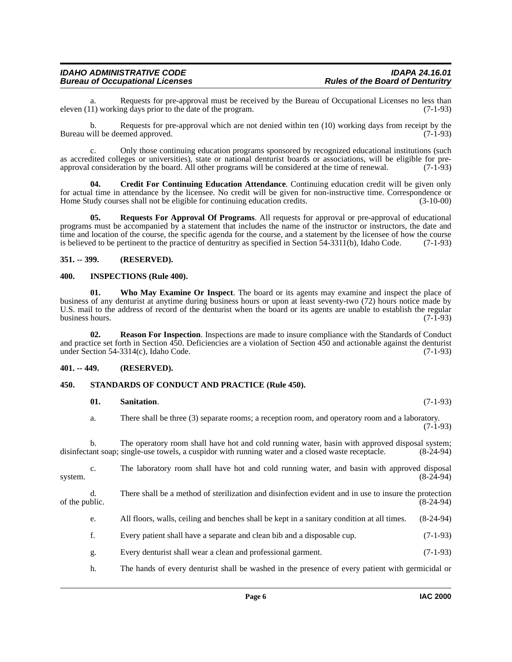### *IDAHO ADMINISTRATIVE CODE IDAPA 24.16.01* **Bureau of Occupational Licenses**

Requests for pre-approval must be received by the Bureau of Occupational Licenses no less than ng days prior to the date of the program. (7-1-93) eleven  $(11)$  working days prior to the date of the program.

b. Requests for pre-approval which are not denied within ten (10) working days from receipt by the Bureau will be deemed approved. (7-1-93)

c. Only those continuing education programs sponsored by recognized educational institutions (such as accredited colleges or universities), state or national denturist boards or associations, will be eligible for preapproval consideration by the board. All other programs will be considered at the time of renewal. (7-1-93)

<span id="page-5-4"></span>**04. Credit For Continuing Education Attendance**. Continuing education credit will be given only for actual time in attendance by the licensee. No credit will be given for non-instructive time. Correspondence or Home Study courses shall not be eligible for continuing education credits. (3-10-00) Home Study courses shall not be eligible for continuing education credits.

<span id="page-5-7"></span>**05. Requests For Approval Of Programs**. All requests for approval or pre-approval of educational programs must be accompanied by a statement that includes the name of the instructor or instructors, the date and time and location of the course, the specific agenda for the course, and a statement by the licensee of how the course is believed to be pertinent to the practice of denturitry as specified in Section  $54-3311(b)$ , Idaho Code. (7-1-93)

#### <span id="page-5-0"></span>**351. -- 399. (RESERVED).**

#### <span id="page-5-5"></span><span id="page-5-1"></span>**400. INSPECTIONS (Rule 400).**

<span id="page-5-10"></span>**01. Who May Examine Or Inspect**. The board or its agents may examine and inspect the place of business of any denturist at anytime during business hours or upon at least seventy-two (72) hours notice made by U.S. mail to the address of record of the denturist when the board or its agents are unable to establish the regular business hours. (7-1-93)

<span id="page-5-6"></span>**Reason For Inspection**. Inspections are made to insure compliance with the Standards of Conduct and practice set forth in Section 450. Deficiencies are a violation of Section 450 and actionable against the denturist under Section 54-3314(c), Idaho Code. (7-1-93) under Section 54-3314(c), Idaho Code.

#### <span id="page-5-2"></span>**401. -- 449. (RESERVED).**

#### <span id="page-5-3"></span>**450. STANDARDS OF CONDUCT AND PRACTICE (Rule 450).**

#### <span id="page-5-9"></span><span id="page-5-8"></span>**01. Sanitation**. (7-1-93)

a. There shall be three (3) separate rooms; a reception room, and operatory room and a laboratory.  $(7-1-93)$ 

b. The operatory room shall have hot and cold running water, basin with approved disposal system;<br>ant soap; single-use towels, a cuspidor with running water and a closed waste receptacle. (8-24-94) disinfectant soap; single-use towels, a cuspidor with running water and a closed waste receptacle.

c. The laboratory room shall have hot and cold running water, and basin with approved disposal system.  $(8-24-94)$ 

d. There shall be a method of sterilization and disinfection evident and in use to insure the protection of the public.  $(8-24-94)$ 

- e. All floors, walls, ceiling and benches shall be kept in a sanitary condition at all times. (8-24-94)
- f. Every patient shall have a separate and clean bib and a disposable cup. (7-1-93)
- g. Every denturist shall wear a clean and professional garment. (7-1-93)
- h. The hands of every denturist shall be washed in the presence of every patient with germicidal or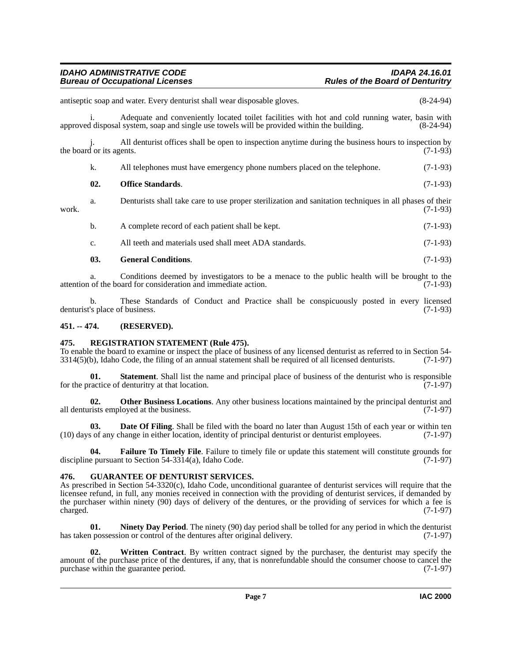#### *IDAHO ADMINISTRATIVE CODE IDAPA 24.16.01 Bureau of Occupational Licenses*

<span id="page-6-7"></span>Adequate and conveniently located toilet facilities with hot and cold running water, basin with approved disposal system, soap and single use towels will be provided within the building. (8-24-94) All denturist offices shall be open to inspection anytime during the business hours to inspection by  $(7-1-93)$ the board or its agents. k. All telephones must have emergency phone numbers placed on the telephone. (7-1-93) **02.** Office Standards. (7-1-93) a. Denturists shall take care to use proper sterilization and sanitation techniques in all phases of their work. (7-1-93) b. A complete record of each patient shall be kept. (7-1-93) c. All teeth and materials used shall meet ADA standards. (7-1-93) **03. General Conditions**. (7-1-93)

a. Conditions deemed by investigators to be a menace to the public health will be brought to the of the board for consideration and immediate action. (7-1-93) attention of the board for consideration and immediate action.

b. These Standards of Conduct and Practice shall be conspicuously posted in every licensed <br>'s place of business. (7-1-93) denturist's place of business.

### <span id="page-6-0"></span>**451. -- 474. (RESERVED).**

#### <span id="page-6-9"></span><span id="page-6-1"></span>**475. REGISTRATION STATEMENT (Rule 475).**

To enable the board to examine or inspect the place of business of any licensed denturist as referred to in Section 54-  $3314(5)$ (b), Idaho Code, the filing of an annual statement shall be required of all licensed denturists.  $(7-1-97)$ 

**01. Statement**. Shall list the name and principal place of business of the denturist who is responsible ractice of denturitry at that location. (7-1-97) for the practice of denturitry at that location.

<span id="page-6-8"></span>**02. Other Business Locations**. Any other business locations maintained by the principal denturist and all denturists employed at the business. (7-1-97)

<span id="page-6-3"></span>**03. Date Of Filing**. Shall be filed with the board no later than August 15th of each year or within ten (10) days of any change in either location, identity of principal denturist or denturist employees. (7-1-97)

<span id="page-6-4"></span>**04. Failure To Timely File**. Failure to timely file or update this statement will constitute grounds for discipline pursuant to Section 54-3314(a), Idaho Code.  $(7-1-97)$ 

#### <span id="page-6-5"></span><span id="page-6-2"></span>**476. GUARANTEE OF DENTURIST SERVICES.**

As prescribed in Section 54-3320(c), Idaho Code, unconditional guarantee of denturist services will require that the licensee refund, in full, any monies received in connection with the providing of denturist services, if demanded by the purchaser within ninety (90) days of delivery of the dentures, or the providing of services for which a fee is charged.  $(7-1-97)$ charged. (7-1-97)

<span id="page-6-6"></span>**01. Ninety Day Period**. The ninety (90) day period shall be tolled for any period in which the denturist has taken possession or control of the dentures after original delivery. (7-1-97)

<span id="page-6-10"></span>**02. Written Contract**. By written contract signed by the purchaser, the denturist may specify the amount of the purchase price of the dentures, if any, that is nonrefundable should the consumer choose to cancel the purchase within the guarantee period. (7-1-97)

antiseptic soap and water. Every denturist shall wear disposable gloves. (8-24-94)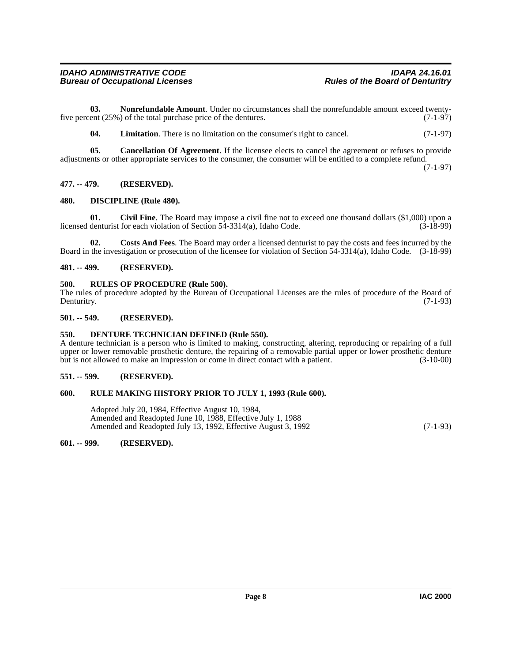**03. Nonrefundable Amount**. Under no circumstances shall the nonrefundable amount exceed twentyfive percent (25%) of the total purchase price of the dentures. (7-1-97)

<span id="page-7-15"></span><span id="page-7-14"></span><span id="page-7-9"></span>**04.** Limitation. There is no limitation on the consumer's right to cancel. (7-1-97)

**05. Cancellation Of Agreement**. If the licensee elects to cancel the agreement or refuses to provide adjustments or other appropriate services to the consumer, the consumer will be entitled to a complete refund.

(7-1-97)

#### <span id="page-7-0"></span>**477. -- 479. (RESERVED).**

#### <span id="page-7-13"></span><span id="page-7-1"></span>**480. DISCIPLINE (Rule 480).**

<span id="page-7-10"></span>**01.** Civil Fine. The Board may impose a civil fine not to exceed one thousand dollars (\$1,000) upon a denturist for each violation of Section 54-3314(a), Idaho Code. (3-18-99) licensed denturist for each violation of Section  $5\overline{4}$ -3314(a), Idaho Code.

<span id="page-7-11"></span>**02. Costs And Fees**. The Board may order a licensed denturist to pay the costs and fees incurred by the Board in the investigation or prosecution of the licensee for violation of Section 54-3314(a), Idaho Code. (3-18-99)

#### <span id="page-7-2"></span>**481. -- 499. (RESERVED).**

#### <span id="page-7-17"></span><span id="page-7-3"></span>**500. RULES OF PROCEDURE (Rule 500).**

The rules of procedure adopted by the Bureau of Occupational Licenses are the rules of procedure of the Board of Denturity. (7-1-93) Denturitry. (7-1-93)

#### <span id="page-7-4"></span>**501. -- 549. (RESERVED).**

#### <span id="page-7-12"></span><span id="page-7-5"></span>**550. DENTURE TECHNICIAN DEFINED (Rule 550).**

A denture technician is a person who is limited to making, constructing, altering, reproducing or repairing of a full upper or lower removable prosthetic denture, the repairing of a removable partial upper or lower prosthetic denture but is not allowed to make an impression or come in direct contact with a patient. (3-10-00)

#### <span id="page-7-6"></span>**551. -- 599. (RESERVED).**

#### <span id="page-7-7"></span>**600. RULE MAKING HISTORY PRIOR TO JULY 1, 1993 (Rule 600).**

<span id="page-7-16"></span>

| Adopted July 20, 1984, Effective August 10, 1984,             |            |
|---------------------------------------------------------------|------------|
| Amended and Readopted June 10, 1988, Effective July 1, 1988   |            |
| Amended and Readopted July 13, 1992, Effective August 3, 1992 | $(7-1-93)$ |

#### <span id="page-7-8"></span>**601. -- 999. (RESERVED).**